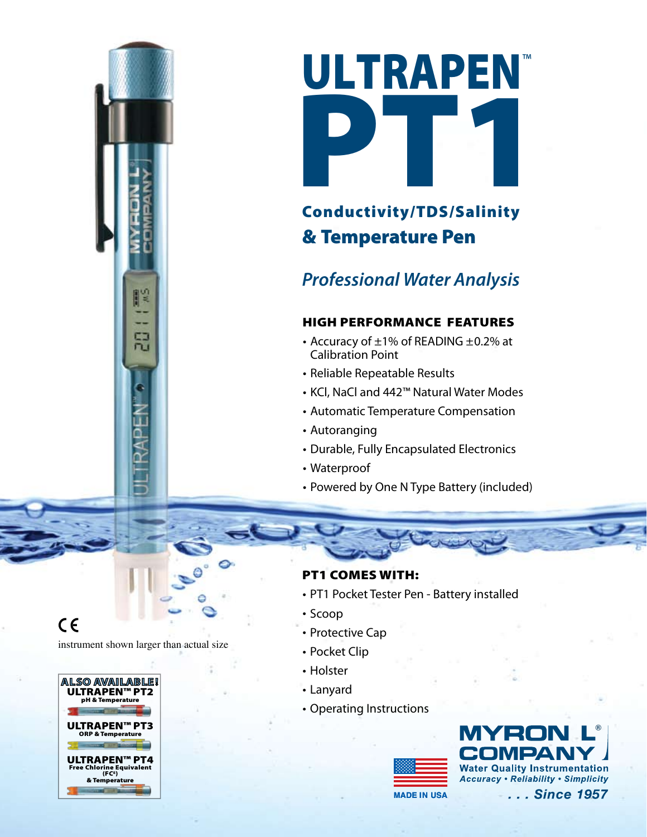

# Conductivity/TDS/Salinity & Temperature Pen

# *Professional Water Analysis*

## High Performance Features

- Accuracy of  $\pm 1\%$  of READING  $\pm 0.2\%$  at Calibration Point
- Reliable Repeatable Results
- KCl, NaCl and 442™ Natural Water Modes
- Automatic Temperature Compensation
- Autoranging
- Durable, Fully Encapsulated Electronics
- Waterproof
- Powered by One N Type Battery (included)

 $C \in$ 

instrument shown larger than actual size

冠



#### PT1 Comes with:

- PT1 Pocket Tester Pen Battery installed
- Scoop
- Protective Cap
- Pocket Clip
- Holster
- Lanyard
- Operating Instructions



**Water Quality Instrumentation Accuracy . Reliability . Simplicity** 

**MaDe in USa**

... Since 1957

**®**